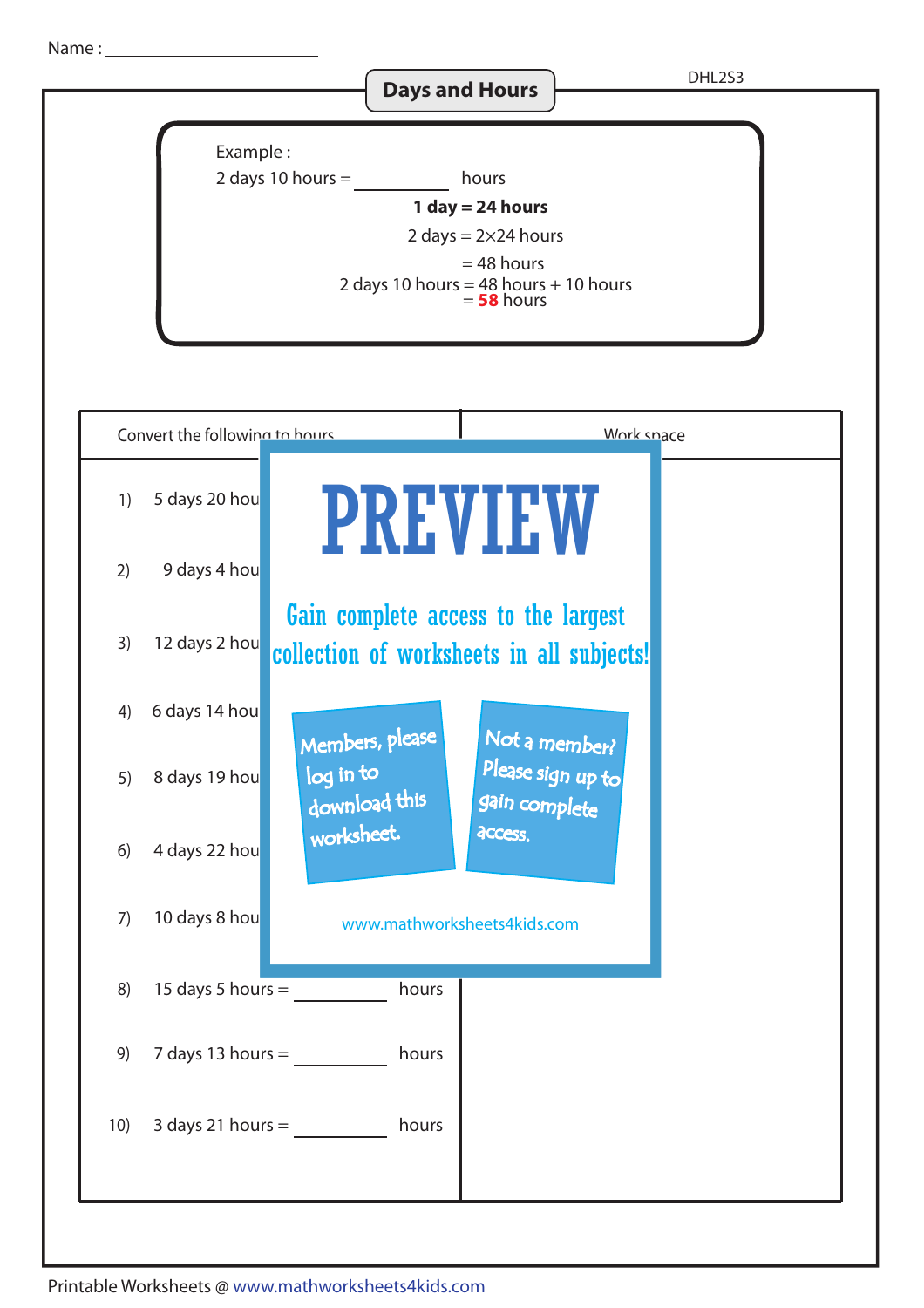Name :